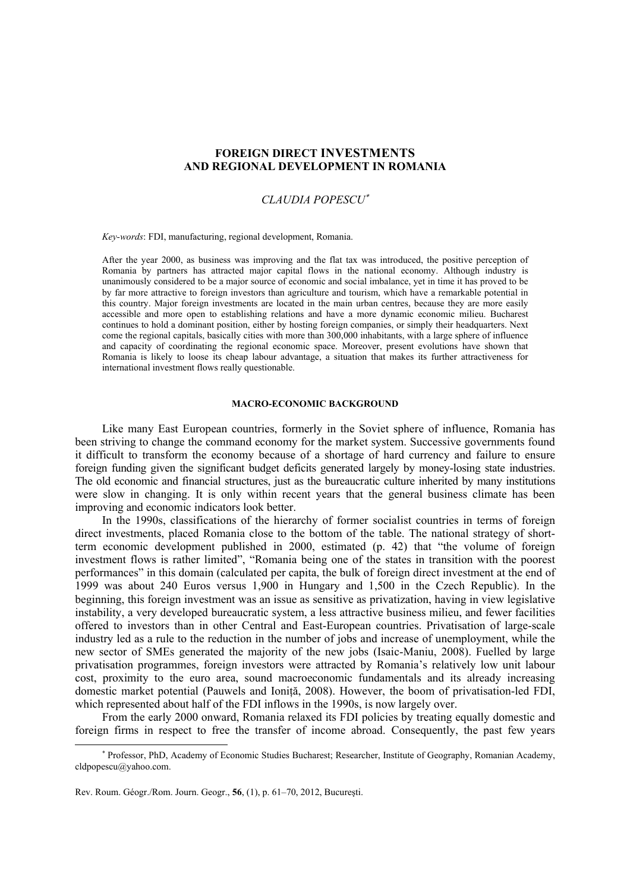# **FOREIGN DIRECT INVESTMENTS AND REGIONAL DEVELOPMENT IN ROMANIA**

# *CLAUDIA POPESCU*<sup>∗</sup>

*Key-words*: FDI, manufacturing, regional development, Romania.

After the year 2000, as business was improving and the flat tax was introduced, the positive perception of Romania by partners has attracted major capital flows in the national economy. Although industry is unanimously considered to be a major source of economic and social imbalance, yet in time it has proved to be by far more attractive to foreign investors than agriculture and tourism, which have a remarkable potential in this country. Major foreign investments are located in the main urban centres, because they are more easily accessible and more open to establishing relations and have a more dynamic economic milieu. Bucharest continues to hold a dominant position, either by hosting foreign companies, or simply their headquarters. Next come the regional capitals, basically cities with more than 300,000 inhabitants, with a large sphere of influence and capacity of coordinating the regional economic space. Moreover, present evolutions have shown that Romania is likely to loose its cheap labour advantage, a situation that makes its further attractiveness for international investment flows really questionable.

### **MACRO-ECONOMIC BACKGROUND**

Like many East European countries, formerly in the Soviet sphere of influence, Romania has been striving to change the command economy for the market system. Successive governments found it difficult to transform the economy because of a shortage of hard currency and failure to ensure foreign funding given the significant budget deficits generated largely by money-losing state industries. The old economic and financial structures, just as the bureaucratic culture inherited by many institutions were slow in changing. It is only within recent years that the general business climate has been improving and economic indicators look better.

In the 1990s, classifications of the hierarchy of former socialist countries in terms of foreign direct investments, placed Romania close to the bottom of the table. The national strategy of shortterm economic development published in 2000, estimated (p. 42) that "the volume of foreign investment flows is rather limited", "Romania being one of the states in transition with the poorest performances" in this domain (calculated per capita, the bulk of foreign direct investment at the end of 1999 was about 240 Euros versus 1,900 in Hungary and 1,500 in the Czech Republic). In the beginning, this foreign investment was an issue as sensitive as privatization, having in view legislative instability, a very developed bureaucratic system, a less attractive business milieu, and fewer facilities offered to investors than in other Central and East-European countries. Privatisation of large-scale industry led as a rule to the reduction in the number of jobs and increase of unemployment, while the new sector of SMEs generated the majority of the new jobs (Isaic-Maniu, 2008). Fuelled by large privatisation programmes, foreign investors were attracted by Romania's relatively low unit labour cost, proximity to the euro area, sound macroeconomic fundamentals and its already increasing domestic market potential (Pauwels and Ioniță, 2008). However, the boom of privatisation-led FDI, which represented about half of the FDI inflows in the 1990s, is now largely over.

From the early 2000 onward, Romania relaxed its FDI policies by treating equally domestic and foreign firms in respect to free the transfer of income abroad. Consequently, the past few years

 $\overline{a}$ 

<sup>∗</sup> Professor, PhD, Academy of Economic Studies Bucharest; Researcher, Institute of Geography, Romanian Academy, cldpopescu@yahoo.com.

Rev. Roum. Géogr./Rom. Journ. Geogr., **56**, (1), p. 61–70, 2012, Bucureşti.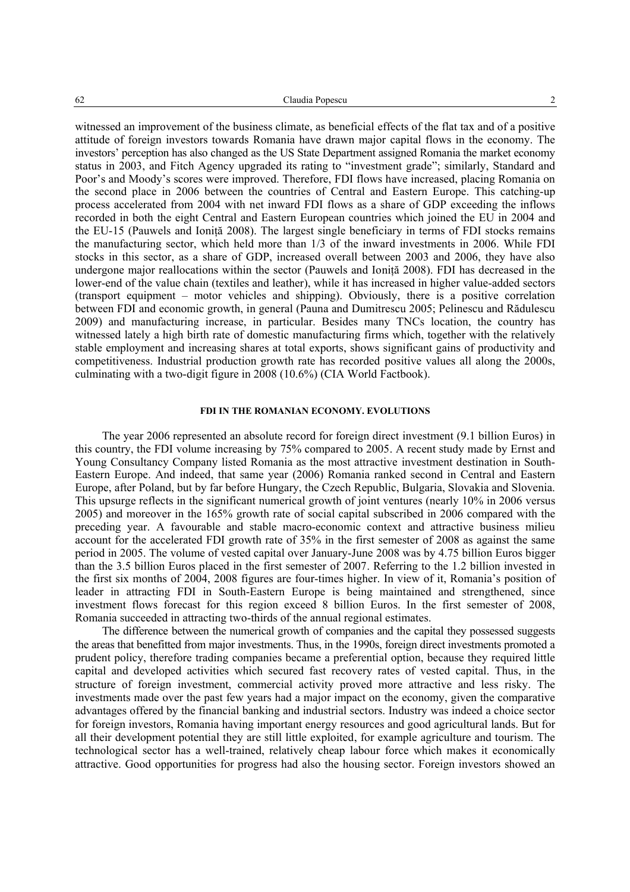witnessed an improvement of the business climate, as beneficial effects of the flat tax and of a positive attitude of foreign investors towards Romania have drawn major capital flows in the economy. The investors' perception has also changed as the US State Department assigned Romania the market economy status in 2003, and Fitch Agency upgraded its rating to "investment grade"; similarly, Standard and Poor's and Moody's scores were improved. Therefore, FDI flows have increased, placing Romania on the second place in 2006 between the countries of Central and Eastern Europe. This catching-up process accelerated from 2004 with net inward FDI flows as a share of GDP exceeding the inflows recorded in both the eight Central and Eastern European countries which joined the EU in 2004 and the EU-15 (Pauwels and Ionită 2008). The largest single beneficiary in terms of FDI stocks remains the manufacturing sector, which held more than 1/3 of the inward investments in 2006. While FDI stocks in this sector, as a share of GDP, increased overall between 2003 and 2006, they have also undergone major reallocations within the sector (Pauwels and Ioniţă 2008). FDI has decreased in the lower-end of the value chain (textiles and leather), while it has increased in higher value-added sectors (transport equipment – motor vehicles and shipping). Obviously, there is a positive correlation between FDI and economic growth, in general (Pauna and Dumitrescu 2005; Pelinescu and Rădulescu 2009) and manufacturing increase, in particular. Besides many TNCs location, the country has witnessed lately a high birth rate of domestic manufacturing firms which, together with the relatively stable employment and increasing shares at total exports, shows significant gains of productivity and competitiveness. Industrial production growth rate has recorded positive values all along the 2000s, culminating with a two-digit figure in 2008 (10.6%) (CIA World Factbook).

## **FDI IN THE ROMANIAN ECONOMY. EVOLUTIONS**

The year 2006 represented an absolute record for foreign direct investment (9.1 billion Euros) in this country, the FDI volume increasing by 75% compared to 2005. A recent study made by Ernst and Young Consultancy Company listed Romania as the most attractive investment destination in South-Eastern Europe. And indeed, that same year (2006) Romania ranked second in Central and Eastern Europe, after Poland, but by far before Hungary, the Czech Republic, Bulgaria, Slovakia and Slovenia. This upsurge reflects in the significant numerical growth of joint ventures (nearly 10% in 2006 versus 2005) and moreover in the 165% growth rate of social capital subscribed in 2006 compared with the preceding year. A favourable and stable macro-economic context and attractive business milieu account for the accelerated FDI growth rate of 35% in the first semester of 2008 as against the same period in 2005. The volume of vested capital over January-June 2008 was by 4.75 billion Euros bigger than the 3.5 billion Euros placed in the first semester of 2007. Referring to the 1.2 billion invested in the first six months of 2004, 2008 figures are four-times higher. In view of it, Romania's position of leader in attracting FDI in South-Eastern Europe is being maintained and strengthened, since investment flows forecast for this region exceed 8 billion Euros. In the first semester of 2008, Romania succeeded in attracting two-thirds of the annual regional estimates.

The difference between the numerical growth of companies and the capital they possessed suggests the areas that benefitted from major investments. Thus, in the 1990s, foreign direct investments promoted a prudent policy, therefore trading companies became a preferential option, because they required little capital and developed activities which secured fast recovery rates of vested capital. Thus, in the structure of foreign investment, commercial activity proved more attractive and less risky. The investments made over the past few years had a major impact on the economy, given the comparative advantages offered by the financial banking and industrial sectors. Industry was indeed a choice sector for foreign investors, Romania having important energy resources and good agricultural lands. But for all their development potential they are still little exploited, for example agriculture and tourism. The technological sector has a well-trained, relatively cheap labour force which makes it economically attractive. Good opportunities for progress had also the housing sector. Foreign investors showed an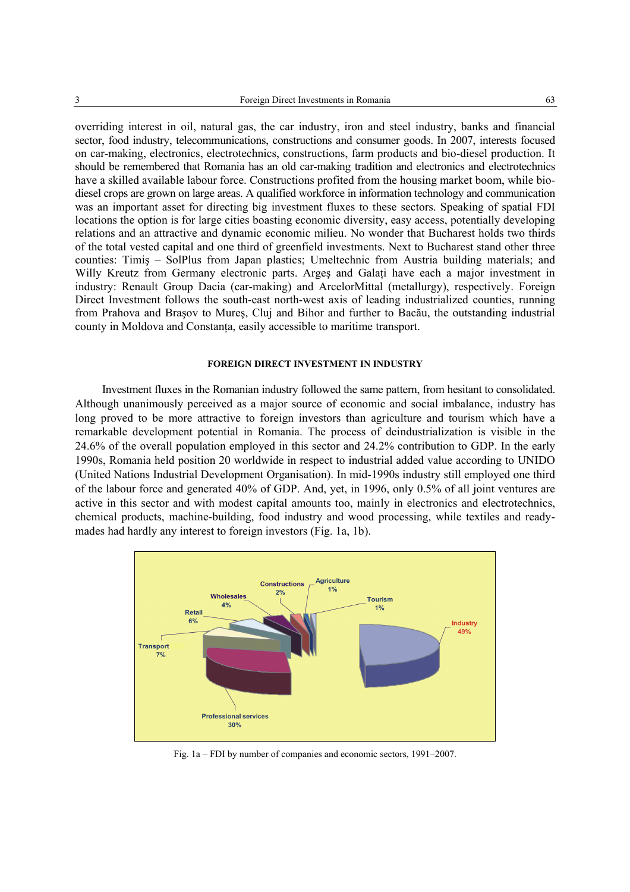overriding interest in oil, natural gas, the car industry, iron and steel industry, banks and financial sector, food industry, telecommunications, constructions and consumer goods. In 2007, interests focused on car-making, electronics, electrotechnics, constructions, farm products and bio-diesel production. It should be remembered that Romania has an old car-making tradition and electronics and electrotechnics have a skilled available labour force. Constructions profited from the housing market boom, while biodiesel crops are grown on large areas. A qualified workforce in information technology and communication was an important asset for directing big investment fluxes to these sectors. Speaking of spatial FDI locations the option is for large cities boasting economic diversity, easy access, potentially developing relations and an attractive and dynamic economic milieu. No wonder that Bucharest holds two thirds of the total vested capital and one third of greenfield investments. Next to Bucharest stand other three counties: Timiş – SolPlus from Japan plastics; Umeltechnic from Austria building materials; and Willy Kreutz from Germany electronic parts. Arges and Galati have each a major investment in industry: Renault Group Dacia (car-making) and ArcelorMittal (metallurgy), respectively. Foreign Direct Investment follows the south-east north-west axis of leading industrialized counties, running from Prahova and Braşov to Mureş, Cluj and Bihor and further to Bacău, the outstanding industrial county in Moldova and Constanţa, easily accessible to maritime transport.

#### **FOREIGN DIRECT INVESTMENT IN INDUSTRY**

Investment fluxes in the Romanian industry followed the same pattern, from hesitant to consolidated. Although unanimously perceived as a major source of economic and social imbalance, industry has long proved to be more attractive to foreign investors than agriculture and tourism which have a remarkable development potential in Romania. The process of deindustrialization is visible in the 24.6% of the overall population employed in this sector and 24.2% contribution to GDP. In the early 1990s, Romania held position 20 worldwide in respect to industrial added value according to UNIDO (United Nations Industrial Development Organisation). In mid-1990s industry still employed one third of the labour force and generated 40% of GDP. And, yet, in 1996, only 0.5% of all joint ventures are active in this sector and with modest capital amounts too, mainly in electronics and electrotechnics, chemical products, machine-building, food industry and wood processing, while textiles and readymades had hardly any interest to foreign investors (Fig. 1a, 1b).



Fig. 1a – FDI by number of companies and economic sectors, 1991–2007.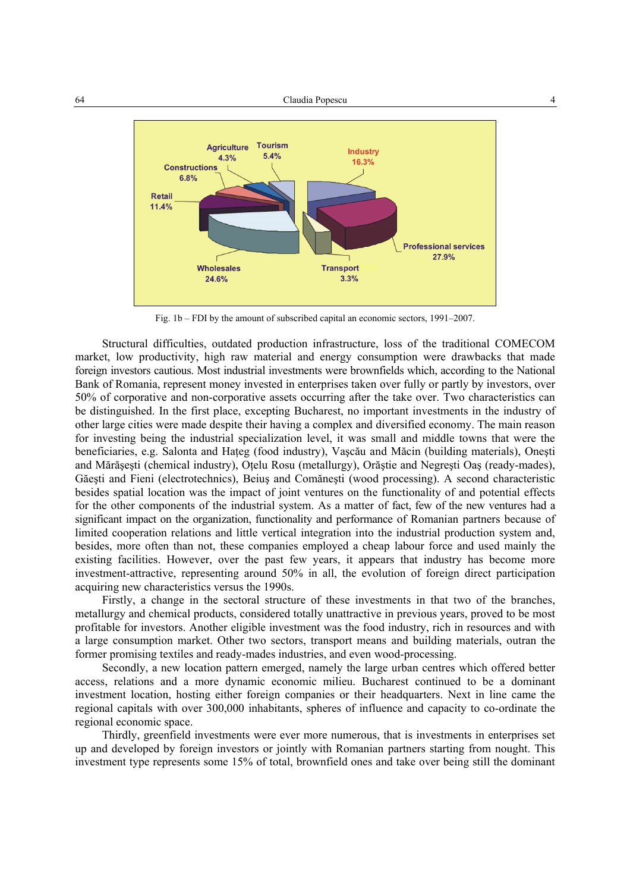

Fig. 1b – FDI by the amount of subscribed capital an economic sectors, 1991–2007.

Structural difficulties, outdated production infrastructure, loss of the traditional COMECOM market, low productivity, high raw material and energy consumption were drawbacks that made foreign investors cautious. Most industrial investments were brownfields which, according to the National Bank of Romania, represent money invested in enterprises taken over fully or partly by investors, over 50% of corporative and non-corporative assets occurring after the take over. Two characteristics can be distinguished. In the first place, excepting Bucharest, no important investments in the industry of other large cities were made despite their having a complex and diversified economy. The main reason for investing being the industrial specialization level, it was small and middle towns that were the beneficiaries, e.g. Salonta and Hateg (food industry), Vascău and Măcin (building materials), Onesti and Mărăşeşti (chemical industry), Oţelu Rosu (metallurgy), Orăştie and Negreşti Oaş (ready-mades), Găeşti and Fieni (electrotechnics), Beiuş and Comăneşti (wood processing). A second characteristic besides spatial location was the impact of joint ventures on the functionality of and potential effects for the other components of the industrial system. As a matter of fact, few of the new ventures had a significant impact on the organization, functionality and performance of Romanian partners because of limited cooperation relations and little vertical integration into the industrial production system and, besides, more often than not, these companies employed a cheap labour force and used mainly the existing facilities. However, over the past few years, it appears that industry has become more investment-attractive, representing around 50% in all, the evolution of foreign direct participation acquiring new characteristics versus the 1990s.

Firstly, a change in the sectoral structure of these investments in that two of the branches, metallurgy and chemical products, considered totally unattractive in previous years, proved to be most profitable for investors. Another eligible investment was the food industry, rich in resources and with a large consumption market. Other two sectors, transport means and building materials, outran the former promising textiles and ready-mades industries, and even wood-processing.

Secondly, a new location pattern emerged, namely the large urban centres which offered better access, relations and a more dynamic economic milieu. Bucharest continued to be a dominant investment location, hosting either foreign companies or their headquarters. Next in line came the regional capitals with over 300,000 inhabitants, spheres of influence and capacity to co-ordinate the regional economic space.

Thirdly, greenfield investments were ever more numerous, that is investments in enterprises set up and developed by foreign investors or jointly with Romanian partners starting from nought. This investment type represents some 15% of total, brownfield ones and take over being still the dominant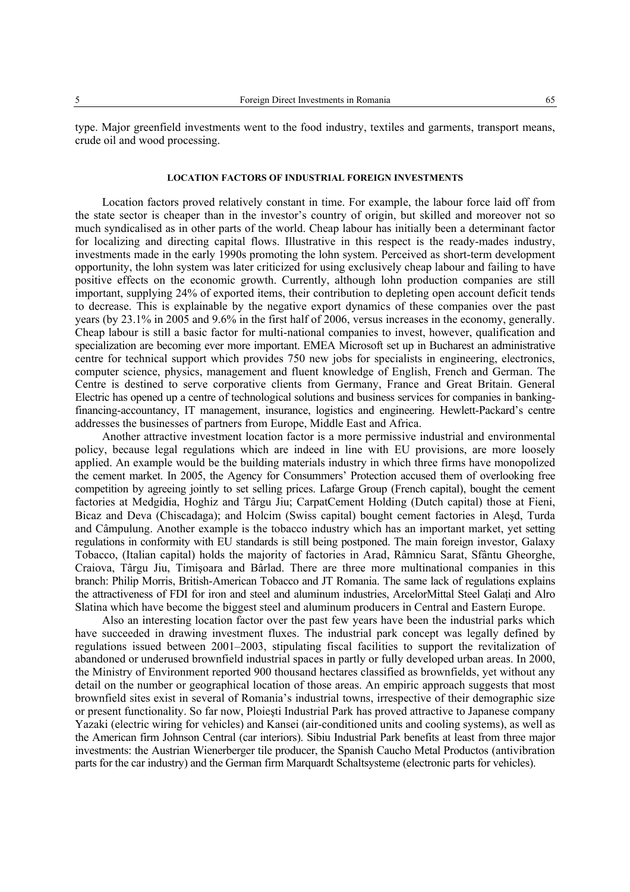### **LOCATION FACTORS OF INDUSTRIAL FOREIGN INVESTMENTS**

Location factors proved relatively constant in time. For example, the labour force laid off from the state sector is cheaper than in the investor's country of origin, but skilled and moreover not so much syndicalised as in other parts of the world. Cheap labour has initially been a determinant factor for localizing and directing capital flows. Illustrative in this respect is the ready-mades industry, investments made in the early 1990s promoting the lohn system. Perceived as short-term development opportunity, the lohn system was later criticized for using exclusively cheap labour and failing to have positive effects on the economic growth. Currently, although lohn production companies are still important, supplying 24% of exported items, their contribution to depleting open account deficit tends to decrease. This is explainable by the negative export dynamics of these companies over the past years (by 23.1% in 2005 and 9.6% in the first half of 2006, versus increases in the economy, generally. Cheap labour is still a basic factor for multi-national companies to invest, however, qualification and specialization are becoming ever more important. EMEA Microsoft set up in Bucharest an administrative centre for technical support which provides 750 new jobs for specialists in engineering, electronics, computer science, physics, management and fluent knowledge of English, French and German. The Centre is destined to serve corporative clients from Germany, France and Great Britain. General Electric has opened up a centre of technological solutions and business services for companies in bankingfinancing-accountancy, IT management, insurance, logistics and engineering. Hewlett-Packard's centre addresses the businesses of partners from Europe, Middle East and Africa.

Another attractive investment location factor is a more permissive industrial and environmental policy, because legal regulations which are indeed in line with EU provisions, are more loosely applied. An example would be the building materials industry in which three firms have monopolized the cement market. In 2005, the Agency for Consummers' Protection accused them of overlooking free competition by agreeing jointly to set selling prices. Lafarge Group (French capital), bought the cement factories at Medgidia, Hoghiz and Târgu Jiu; CarpatCement Holding (Dutch capital) those at Fieni, Bicaz and Deva (Chiscadaga); and Holcim (Swiss capital) bought cement factories in Aleşd, Turda and Câmpulung. Another example is the tobacco industry which has an important market, yet setting regulations in conformity with EU standards is still being postponed. The main foreign investor, Galaxy Tobacco, (Italian capital) holds the majority of factories in Arad, Râmnicu Sarat, Sfântu Gheorghe, Craiova, Târgu Jiu, Timişoara and Bârlad. There are three more multinational companies in this branch: Philip Morris, British-American Tobacco and JT Romania. The same lack of regulations explains the attractiveness of FDI for iron and steel and aluminum industries, ArcelorMittal Steel Galati and Alro Slatina which have become the biggest steel and aluminum producers in Central and Eastern Europe.

Also an interesting location factor over the past few years have been the industrial parks which have succeeded in drawing investment fluxes. The industrial park concept was legally defined by regulations issued between 2001–2003, stipulating fiscal facilities to support the revitalization of abandoned or underused brownfield industrial spaces in partly or fully developed urban areas. In 2000, the Ministry of Environment reported 900 thousand hectares classified as brownfields, yet without any detail on the number or geographical location of those areas. An empiric approach suggests that most brownfield sites exist in several of Romania's industrial towns, irrespective of their demographic size or present functionality. So far now, Ploieşti Industrial Park has proved attractive to Japanese company Yazaki (electric wiring for vehicles) and Kansei (air-conditioned units and cooling systems), as well as the American firm Johnson Central (car interiors). Sibiu Industrial Park benefits at least from three major investments: the Austrian Wienerberger tile producer, the Spanish Caucho Metal Productos (antivibration parts for the car industry) and the German firm Marquardt Schaltsysteme (electronic parts for vehicles).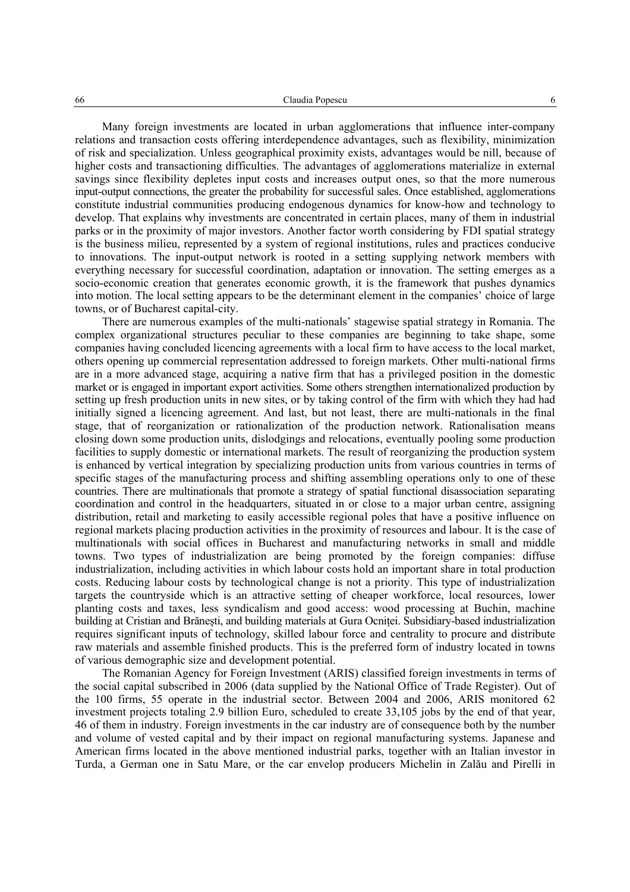Many foreign investments are located in urban agglomerations that influence inter-company relations and transaction costs offering interdependence advantages, such as flexibility, minimization of risk and specialization. Unless geographical proximity exists, advantages would be nill, because of higher costs and transactioning difficulties. The advantages of agglomerations materialize in external savings since flexibility depletes input costs and increases output ones, so that the more numerous input-output connections, the greater the probability for successful sales. Once established, agglomerations constitute industrial communities producing endogenous dynamics for know-how and technology to develop. That explains why investments are concentrated in certain places, many of them in industrial parks or in the proximity of major investors. Another factor worth considering by FDI spatial strategy is the business milieu, represented by a system of regional institutions, rules and practices conducive to innovations. The input-output network is rooted in a setting supplying network members with everything necessary for successful coordination, adaptation or innovation. The setting emerges as a socio-economic creation that generates economic growth, it is the framework that pushes dynamics into motion. The local setting appears to be the determinant element in the companies' choice of large towns, or of Bucharest capital-city.

There are numerous examples of the multi-nationals' stagewise spatial strategy in Romania. The complex organizational structures peculiar to these companies are beginning to take shape, some companies having concluded licencing agreements with a local firm to have access to the local market, others opening up commercial representation addressed to foreign markets. Other multi-national firms are in a more advanced stage, acquiring a native firm that has a privileged position in the domestic market or is engaged in important export activities. Some others strengthen internationalized production by setting up fresh production units in new sites, or by taking control of the firm with which they had had initially signed a licencing agreement. And last, but not least, there are multi-nationals in the final stage, that of reorganization or rationalization of the production network. Rationalisation means closing down some production units, dislodgings and relocations, eventually pooling some production facilities to supply domestic or international markets. The result of reorganizing the production system is enhanced by vertical integration by specializing production units from various countries in terms of specific stages of the manufacturing process and shifting assembling operations only to one of these countries. There are multinationals that promote a strategy of spatial functional disassociation separating coordination and control in the headquarters, situated in or close to a major urban centre, assigning distribution, retail and marketing to easily accessible regional poles that have a positive influence on regional markets placing production activities in the proximity of resources and labour. It is the case of multinationals with social offices in Bucharest and manufacturing networks in small and middle towns. Two types of industrialization are being promoted by the foreign companies: diffuse industrialization, including activities in which labour costs hold an important share in total production costs. Reducing labour costs by technological change is not a priority. This type of industrialization targets the countryside which is an attractive setting of cheaper workforce, local resources, lower planting costs and taxes, less syndicalism and good access: wood processing at Buchin, machine building at Cristian and Brănesti, and building materials at Gura Ocnitei. Subsidiary-based industrialization requires significant inputs of technology, skilled labour force and centrality to procure and distribute raw materials and assemble finished products. This is the preferred form of industry located in towns of various demographic size and development potential.

The Romanian Agency for Foreign Investment (ARIS) classified foreign investments in terms of the social capital subscribed in 2006 (data supplied by the National Office of Trade Register). Out of the 100 firms, 55 operate in the industrial sector. Between 2004 and 2006, ARIS monitored 62 investment projects totaling 2.9 billion Euro, scheduled to create 33,105 jobs by the end of that year, 46 of them in industry. Foreign investments in the car industry are of consequence both by the number and volume of vested capital and by their impact on regional manufacturing systems. Japanese and American firms located in the above mentioned industrial parks, together with an Italian investor in Turda, a German one in Satu Mare, or the car envelop producers Michelin in Zalău and Pirelli in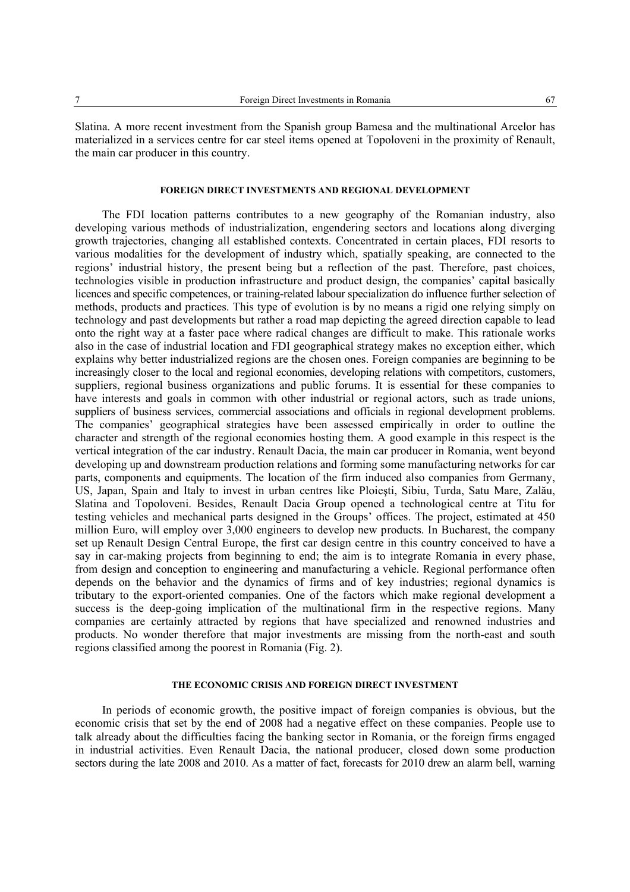Slatina. A more recent investment from the Spanish group Bamesa and the multinational Arcelor has materialized in a services centre for car steel items opened at Topoloveni in the proximity of Renault, the main car producer in this country.

### **FOREIGN DIRECT INVESTMENTS AND REGIONAL DEVELOPMENT**

The FDI location patterns contributes to a new geography of the Romanian industry, also developing various methods of industrialization, engendering sectors and locations along diverging growth trajectories, changing all established contexts. Concentrated in certain places, FDI resorts to various modalities for the development of industry which, spatially speaking, are connected to the regions' industrial history, the present being but a reflection of the past. Therefore, past choices, technologies visible in production infrastructure and product design, the companies' capital basically licences and specific competences, or training-related labour specialization do influence further selection of methods, products and practices. This type of evolution is by no means a rigid one relying simply on technology and past developments but rather a road map depicting the agreed direction capable to lead onto the right way at a faster pace where radical changes are difficult to make. This rationale works also in the case of industrial location and FDI geographical strategy makes no exception either, which explains why better industrialized regions are the chosen ones. Foreign companies are beginning to be increasingly closer to the local and regional economies, developing relations with competitors, customers, suppliers, regional business organizations and public forums. It is essential for these companies to have interests and goals in common with other industrial or regional actors, such as trade unions, suppliers of business services, commercial associations and officials in regional development problems. The companies' geographical strategies have been assessed empirically in order to outline the character and strength of the regional economies hosting them. A good example in this respect is the vertical integration of the car industry. Renault Dacia, the main car producer in Romania, went beyond developing up and downstream production relations and forming some manufacturing networks for car parts, components and equipments. The location of the firm induced also companies from Germany, US, Japan, Spain and Italy to invest in urban centres like Ploieşti, Sibiu, Turda, Satu Mare, Zalău, Slatina and Topoloveni. Besides, Renault Dacia Group opened a technological centre at Titu for testing vehicles and mechanical parts designed in the Groups' offices. The project, estimated at 450 million Euro, will employ over 3,000 engineers to develop new products. In Bucharest, the company set up Renault Design Central Europe, the first car design centre in this country conceived to have a say in car-making projects from beginning to end; the aim is to integrate Romania in every phase, from design and conception to engineering and manufacturing a vehicle. Regional performance often depends on the behavior and the dynamics of firms and of key industries; regional dynamics is tributary to the export-oriented companies. One of the factors which make regional development a success is the deep-going implication of the multinational firm in the respective regions. Many companies are certainly attracted by regions that have specialized and renowned industries and products. No wonder therefore that major investments are missing from the north-east and south regions classified among the poorest in Romania (Fig. 2).

# **THE ECONOMIC CRISIS AND FOREIGN DIRECT INVESTMENT**

In periods of economic growth, the positive impact of foreign companies is obvious, but the economic crisis that set by the end of 2008 had a negative effect on these companies. People use to talk already about the difficulties facing the banking sector in Romania, or the foreign firms engaged in industrial activities. Even Renault Dacia, the national producer, closed down some production sectors during the late 2008 and 2010. As a matter of fact, forecasts for 2010 drew an alarm bell, warning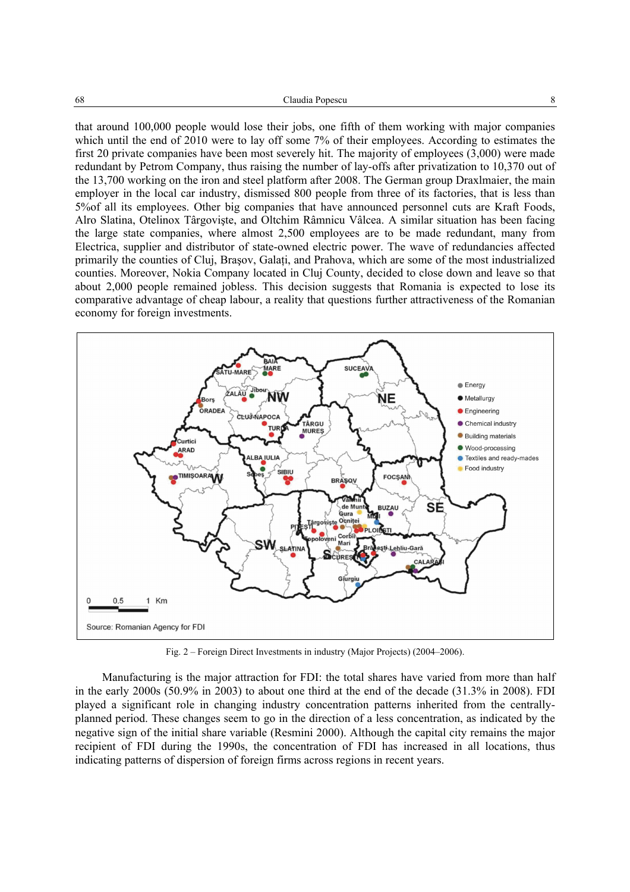that around 100,000 people would lose their jobs, one fifth of them working with major companies which until the end of 2010 were to lay off some 7% of their employees. According to estimates the first 20 private companies have been most severely hit. The majority of employees (3,000) were made redundant by Petrom Company, thus raising the number of lay-offs after privatization to 10,370 out of the 13,700 working on the iron and steel platform after 2008. The German group Draxlmaier, the main employer in the local car industry, dismissed 800 people from three of its factories, that is less than 5%of all its employees. Other big companies that have announced personnel cuts are Kraft Foods, Alro Slatina, Otelinox Târgovişte, and Oltchim Râmnicu Vâlcea. A similar situation has been facing the large state companies, where almost 2,500 employees are to be made redundant, many from Electrica, supplier and distributor of state-owned electric power. The wave of redundancies affected primarily the counties of Cluj, Brașov, Galați, and Prahova, which are some of the most industrialized counties. Moreover, Nokia Company located in Cluj County, decided to close down and leave so that about 2,000 people remained jobless. This decision suggests that Romania is expected to lose its comparative advantage of cheap labour, a reality that questions further attractiveness of the Romanian economy for foreign investments.



Fig. 2 – Foreign Direct Investments in industry (Major Projects) (2004–2006).

Manufacturing is the major attraction for FDI: the total shares have varied from more than half in the early 2000s (50.9% in 2003) to about one third at the end of the decade (31.3% in 2008). FDI played a significant role in changing industry concentration patterns inherited from the centrallyplanned period. These changes seem to go in the direction of a less concentration, as indicated by the negative sign of the initial share variable (Resmini 2000). Although the capital city remains the major recipient of FDI during the 1990s, the concentration of FDI has increased in all locations, thus indicating patterns of dispersion of foreign firms across regions in recent years.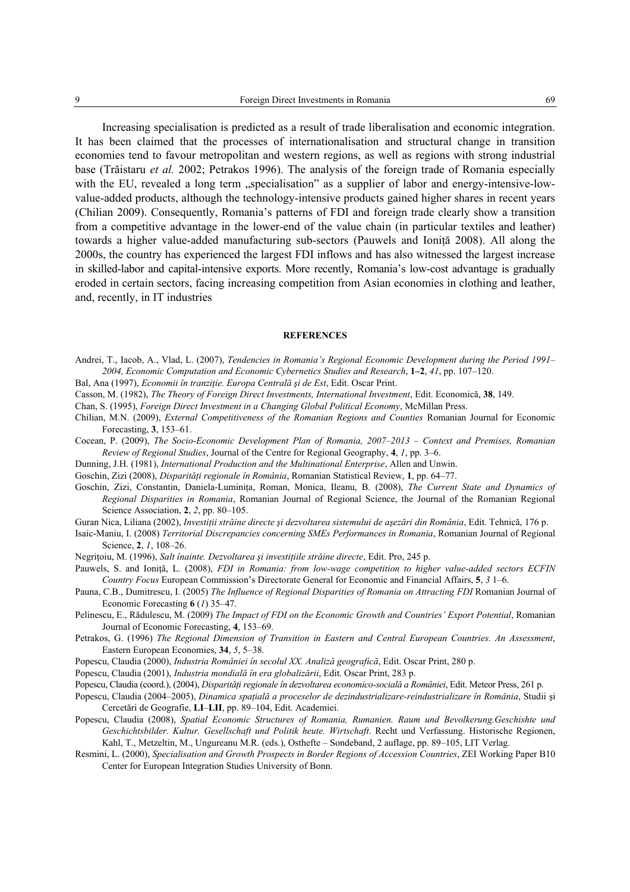Increasing specialisation is predicted as a result of trade liberalisation and economic integration. It has been claimed that the processes of internationalisation and structural change in transition economies tend to favour metropolitan and western regions, as well as regions with strong industrial base (Trăistaru *et al.* 2002; Petrakos 1996). The analysis of the foreign trade of Romania especially with the EU, revealed a long term "specialisation" as a supplier of labor and energy-intensive-lowvalue-added products, although the technology-intensive products gained higher shares in recent years (Chilian 2009). Consequently, Romania's patterns of FDI and foreign trade clearly show a transition from a competitive advantage in the lower-end of the value chain (in particular textiles and leather) towards a higher value-added manufacturing sub-sectors (Pauwels and Ioniţă 2008). All along the 2000s, the country has experienced the largest FDI inflows and has also witnessed the largest increase in skilled-labor and capital-intensive exports. More recently, Romania's low-cost advantage is gradually eroded in certain sectors, facing increasing competition from Asian economies in clothing and leather, and, recently, in IT industries

#### **REFERENCES**

- Andrei, T., Iacob, A., Vlad, L. (2007), *Tendencies in Romania's Regional Economic Development during the Period 1991– 2004, Economic Computation and Economic Cybernetics Studies and Research*, **1–2**, *41*, pp. 107–120.
- Bal, Ana (1997), *Economii în tranziţie. Europa Centrală şi de Est*, Edit. Oscar Print.
- Casson, M. (1982), *The Theory of Foreign Direct Investments, International Investment*, Edit. Economică, **38**, 149.
- Chan, S. (1995), *Foreign Direct Investment in a Changing Global Political Economy*, McMillan Press.
- Chilian, M.N. (2009), *External Competitiveness of the Romanian Regions and Counties* Romanian Journal for Economic Forecasting, **3**, 153–61.
- Cocean, P. (2009), *The Socio-Economic Development Plan of Romania, 2007–2013 Context and Premises, Romanian Review of Regional Studies*, Journal of the Centre for Regional Geography, **4**, *1*, pp. 3–6.
- Dunning, J.H. (1981), *International Production and the Multinational Enterprise*, Allen and Unwin.
- Goschin, Zizi (2008), *Disparităţi regionale în România*, Romanian Statistical Review, **1**, pp. 64–77.
- Goschin, Zizi, Constantin, Daniela-Luminiţa, Roman, Monica, Ileanu, B. (2008), *The Current State and Dynamics of Regional Disparities in Romania*, Romanian Journal of Regional Science, the Journal of the Romanian Regional Science Association, **2**, *2*, pp. 80–105.
- Guran Nica, Liliana (2002), *Investiţii străine directe şi dezvoltarea sistemului de aşezări din România*, Edit. Tehnică, 176 p.
- Isaic-Maniu, I. (2008) *Territorial Discrepancies concerning SMEs Performances in Romania*, Romanian Journal of Regional Science, **2**, *1*, 108–26.
- Negriţoiu, M. (1996), *Salt înainte. Dezvoltarea şi investiţiile străine directe*, Edit. Pro, 245 p.
- Pauwels, S. and Ioniță, L. (2008), *FDI in Romania: from low-wage competition to higher value-added sectors ECFIN Country Focus* European Commission's Directorate General for Economic and Financial Affairs, **5**, *3* 1–6.
- Pauna, C.B., Dumitrescu, I. (2005) *The Influence of Regional Disparities of Romania on Attracting FDI* Romanian Journal of Economic Forecasting **6** (*1*) 35–47.
- Pelinescu, E., Rădulescu, M. (2009) *The Impact of FDI on the Economic Growth and Countries' Export Potential*, Romanian Journal of Economic Forecasting, **4**, 153–69.
- Petrakos, G. (1996) *The Regional Dimension of Transition in Eastern and Central European Countries. An Assessment*, Eastern European Economies, **34**, *5*, 5–38.
- Popescu, Claudia (2000), *Industria României în secolul XX. Analiză geografică*, Edit. Oscar Print, 280 p.
- Popescu, Claudia (2001), *Industria mondială în era globalizării*, Edit. Oscar Print, 283 p.
- Popescu, Claudia (coord.), (2004), *Disparităţi regionale în dezvoltarea economico-socială a României*, Edit. Meteor Press, 261 p.
- Popescu, Claudia (2004–2005), *Dinamica spaţială a proceselor de dezindustrializare-reindustrializare în România*, Studii şi Cercetări de Geografie, **LI**–**LII**, pp. 89–104, Edit. Academiei.
- Popescu, Claudia (2008), *Spatial Economic Structures of Romania, Rumanien. Raum und Bevolkerung.Geschishte und Geschichtsbilder. Kultur. Gesellschaft und Politik heute. Wirtschaft*. Recht und Verfassung. Historische Regionen, Kahl, T., Metzeltin, M., Ungureanu M.R. (eds.), Osthefte – Sondeband, 2 auflage, pp. 89–105, LIT Verlag.
- Resmini, L. (2000), *Specialisation and Growth Prospects in Border Regions of Accession Countries*, ZEI Working Paper B10 Center for European Integration Studies University of Bonn.